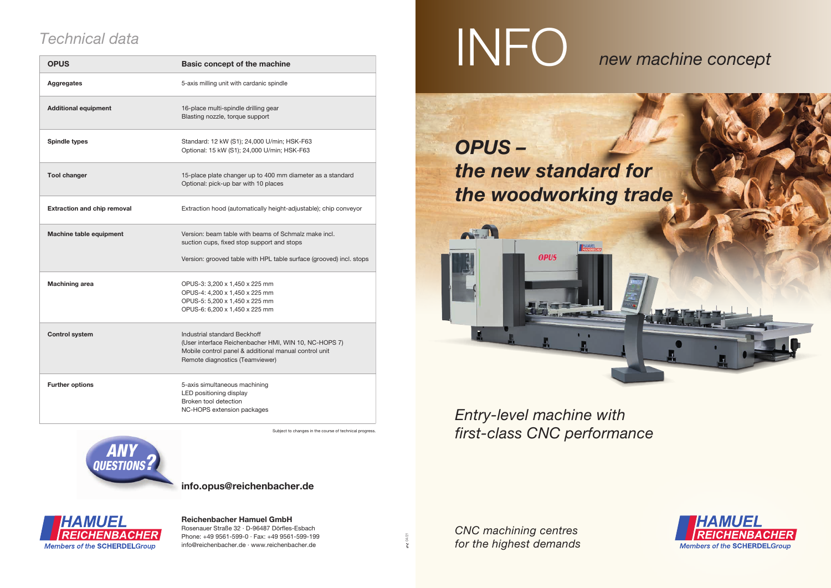*Entry-level machine with first-class CNC performance*

*CNC machining centres for the highest demands*

## INFO *new machine concept*



*OPUS –*



## *Technical data*

## **Reichenbacher Hamuel GmbH**

Rosenauer Straße 32 · D-96487 Dörfles-Esbach Phone: +49 9561-599-0 · Fax: +49 9561-599-199 info@reichenbacher.de · www.reichenbacher.de

04/21

| <b>OPUS</b>                        | <b>Basic concept of the machine</b>                                                                                                                                               |
|------------------------------------|-----------------------------------------------------------------------------------------------------------------------------------------------------------------------------------|
| <b>Aggregates</b>                  | 5-axis milling unit with cardanic spindle                                                                                                                                         |
| <b>Additional equipment</b>        | 16-place multi-spindle drilling gear<br>Blasting nozzle, torque support                                                                                                           |
| <b>Spindle types</b>               | Standard: 12 kW (S1); 24,000 U/min; HSK-F63<br>Optional: 15 kW (S1); 24,000 U/min; HSK-F63                                                                                        |
| <b>Tool changer</b>                | 15-place plate changer up to 400 mm diameter as a standard<br>Optional: pick-up bar with 10 places                                                                                |
| <b>Extraction and chip removal</b> | Extraction hood (automatically height-adjustable); chip conveyor                                                                                                                  |
| Machine table equipment            | Version: beam table with beams of Schmalz make incl.<br>suction cups, fixed stop support and stops<br>Version: grooved table with HPL table surface (grooved) incl. stops         |
|                                    |                                                                                                                                                                                   |
| <b>Machining area</b>              | OPUS-3: 3,200 x 1,450 x 225 mm<br>OPUS-4: 4,200 x 1,450 x 225 mm<br>OPUS-5: 5,200 x 1,450 x 225 mm<br>OPUS-6: 6,200 x 1,450 x 225 mm                                              |
| <b>Control system</b>              | Industrial standard Beckhoff<br>(User interface Reichenbacher HMI, WIN 10, NC-HOPS 7)<br>Mobile control panel & additional manual control unit<br>Remote diagnostics (Teamviewer) |
| <b>Further options</b>             | 5-axis simultaneous machining<br>LED positioning display<br>Broken tool detection<br>NC-HOPS extension packages                                                                   |

Subject to changes in the course of technical progress

**info.opus@reichenbacher.de**